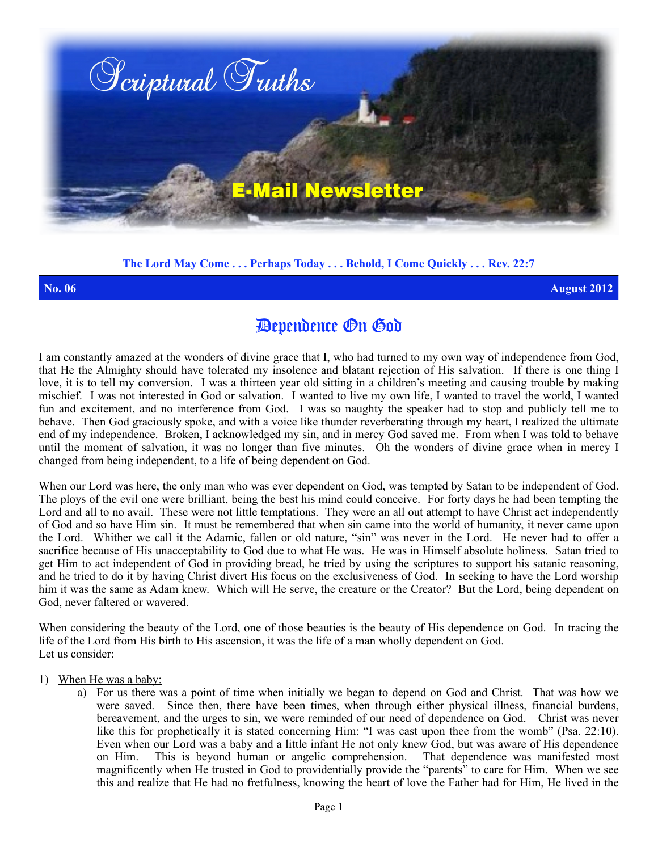

**The Lord May Come . . . Perhaps Today . . . Behold, I Come Quickly . . . Rev. 22:7**

**No. 06 August 2012**

## Dependence On God

I am constantly amazed at the wonders of divine grace that I, who had turned to my own way of independence from God, that He the Almighty should have tolerated my insolence and blatant rejection of His salvation. If there is one thing I love, it is to tell my conversion. I was a thirteen year old sitting in a children's meeting and causing trouble by making mischief. I was not interested in God or salvation. I wanted to live my own life, I wanted to travel the world, I wanted fun and excitement, and no interference from God. I was so naughty the speaker had to stop and publicly tell me to behave. Then God graciously spoke, and with a voice like thunder reverberating through my heart, I realized the ultimate end of my independence. Broken, I acknowledged my sin, and in mercy God saved me. From when I was told to behave until the moment of salvation, it was no longer than five minutes. Oh the wonders of divine grace when in mercy I changed from being independent, to a life of being dependent on God.

When our Lord was here, the only man who was ever dependent on God, was tempted by Satan to be independent of God. The ploys of the evil one were brilliant, being the best his mind could conceive. For forty days he had been tempting the Lord and all to no avail. These were not little temptations. They were an all out attempt to have Christ act independently of God and so have Him sin. It must be remembered that when sin came into the world of humanity, it never came upon the Lord. Whither we call it the Adamic, fallen or old nature, "sin" was never in the Lord. He never had to offer a sacrifice because of His unacceptability to God due to what He was. He was in Himself absolute holiness. Satan tried to get Him to act independent of God in providing bread, he tried by using the scriptures to support his satanic reasoning, and he tried to do it by having Christ divert His focus on the exclusiveness of God. In seeking to have the Lord worship him it was the same as Adam knew. Which will He serve, the creature or the Creator? But the Lord, being dependent on God, never faltered or wavered.

When considering the beauty of the Lord, one of those beauties is the beauty of His dependence on God. In tracing the life of the Lord from His birth to His ascension, it was the life of a man wholly dependent on God. Let us consider:

- 1) When He was a baby:
	- a) For us there was a point of time when initially we began to depend on God and Christ. That was how we were saved. Since then, there have been times, when through either physical illness, financial burdens, bereavement, and the urges to sin, we were reminded of our need of dependence on God. Christ was never like this for prophetically it is stated concerning Him: "I was cast upon thee from the womb" (Psa. 22:10). Even when our Lord was a baby and a little infant He not only knew God, but was aware of His dependence on Him. This is beyond human or angelic comprehension. That dependence was manifested most magnificently when He trusted in God to providentially provide the "parents" to care for Him. When we see this and realize that He had no fretfulness, knowing the heart of love the Father had for Him, He lived in the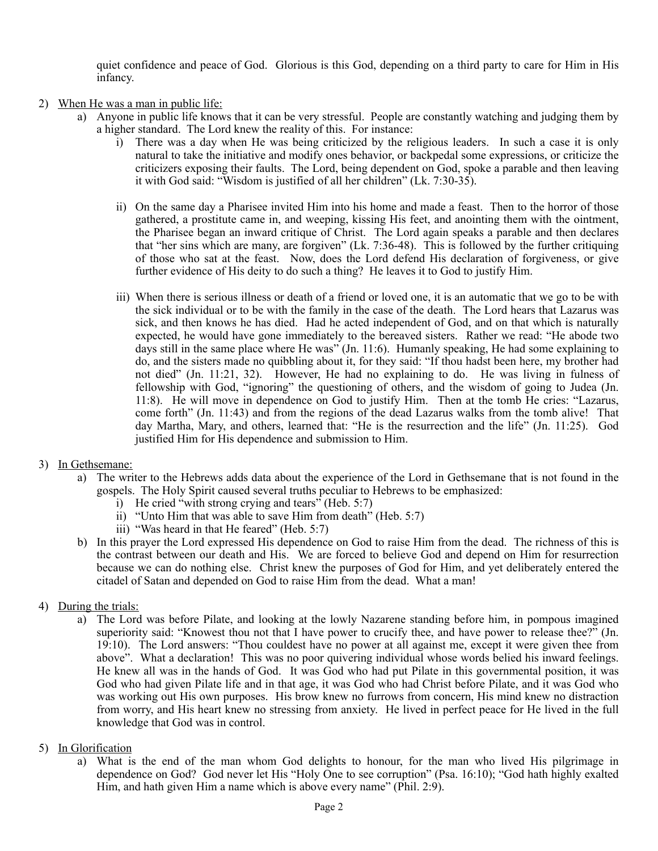quiet confidence and peace of God. Glorious is this God, depending on a third party to care for Him in His infancy.

- 2) When He was a man in public life:
	- a) Anyone in public life knows that it can be very stressful. People are constantly watching and judging them by a higher standard. The Lord knew the reality of this. For instance:
		- i) There was a day when He was being criticized by the religious leaders. In such a case it is only natural to take the initiative and modify ones behavior, or backpedal some expressions, or criticize the criticizers exposing their faults. The Lord, being dependent on God, spoke a parable and then leaving it with God said: "Wisdom is justified of all her children" (Lk. 7:30-35).
		- ii) On the same day a Pharisee invited Him into his home and made a feast. Then to the horror of those gathered, a prostitute came in, and weeping, kissing His feet, and anointing them with the ointment, the Pharisee began an inward critique of Christ. The Lord again speaks a parable and then declares that "her sins which are many, are forgiven" (Lk. 7:36-48). This is followed by the further critiquing of those who sat at the feast. Now, does the Lord defend His declaration of forgiveness, or give further evidence of His deity to do such a thing? He leaves it to God to justify Him.
		- iii) When there is serious illness or death of a friend or loved one, it is an automatic that we go to be with the sick individual or to be with the family in the case of the death. The Lord hears that Lazarus was sick, and then knows he has died. Had he acted independent of God, and on that which is naturally expected, he would have gone immediately to the bereaved sisters. Rather we read: "He abode two days still in the same place where He was" (Jn. 11:6). Humanly speaking, He had some explaining to do, and the sisters made no quibbling about it, for they said: "If thou hadst been here, my brother had not died" (Jn. 11:21, 32). However, He had no explaining to do. He was living in fulness of fellowship with God, "ignoring" the questioning of others, and the wisdom of going to Judea (Jn. 11:8). He will move in dependence on God to justify Him. Then at the tomb He cries: "Lazarus, come forth" (Jn. 11:43) and from the regions of the dead Lazarus walks from the tomb alive! That day Martha, Mary, and others, learned that: "He is the resurrection and the life" (Jn. 11:25). God justified Him for His dependence and submission to Him.
- 3) In Gethsemane:
	- a) The writer to the Hebrews adds data about the experience of the Lord in Gethsemane that is not found in the gospels. The Holy Spirit caused several truths peculiar to Hebrews to be emphasized:
		- i) He cried "with strong crying and tears" (Heb.  $5:7$ )
		- ii) "Unto Him that was able to save Him from death" (Heb. 5:7)
		- iii) "Was heard in that He feared" (Heb. 5:7)
	- b) In this prayer the Lord expressed His dependence on God to raise Him from the dead. The richness of this is the contrast between our death and His. We are forced to believe God and depend on Him for resurrection because we can do nothing else. Christ knew the purposes of God for Him, and yet deliberately entered the citadel of Satan and depended on God to raise Him from the dead. What a man!
- 4) During the trials:
	- a) The Lord was before Pilate, and looking at the lowly Nazarene standing before him, in pompous imagined superiority said: "Knowest thou not that I have power to crucify thee, and have power to release thee?" (Jn. 19:10). The Lord answers: "Thou couldest have no power at all against me, except it were given thee from above". What a declaration! This was no poor quivering individual whose words belied his inward feelings. He knew all was in the hands of God. It was God who had put Pilate in this governmental position, it was God who had given Pilate life and in that age, it was God who had Christ before Pilate, and it was God who was working out His own purposes. His brow knew no furrows from concern, His mind knew no distraction from worry, and His heart knew no stressing from anxiety. He lived in perfect peace for He lived in the full knowledge that God was in control.
- 5) In Glorification
	- a) What is the end of the man whom God delights to honour, for the man who lived His pilgrimage in dependence on God? God never let His "Holy One to see corruption" (Psa. 16:10); "God hath highly exalted Him, and hath given Him a name which is above every name" (Phil. 2:9).